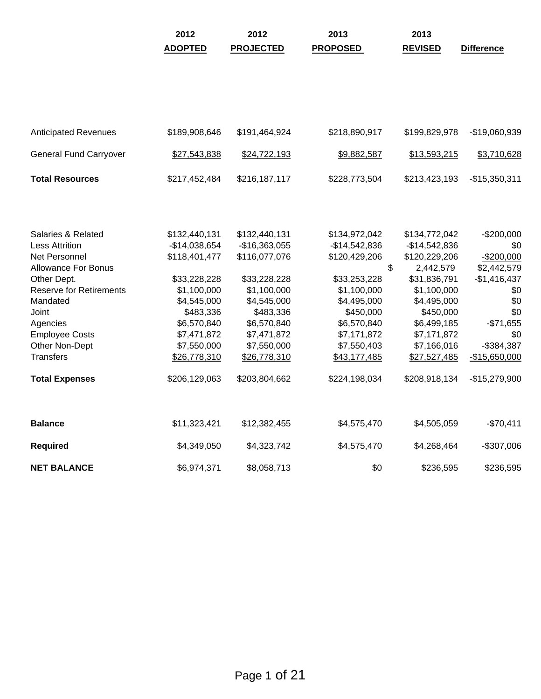|                                | 2012           | 2012             | 2013            | 2013           |                   |
|--------------------------------|----------------|------------------|-----------------|----------------|-------------------|
|                                | <b>ADOPTED</b> | <b>PROJECTED</b> | <b>PROPOSED</b> | <b>REVISED</b> | <b>Difference</b> |
|                                |                |                  |                 |                |                   |
|                                |                |                  |                 |                |                   |
|                                |                |                  |                 |                |                   |
|                                |                |                  |                 |                |                   |
|                                |                |                  |                 |                |                   |
| <b>Anticipated Revenues</b>    | \$189,908,646  | \$191,464,924    | \$218,890,917   | \$199,829,978  | -\$19,060,939     |
| <b>General Fund Carryover</b>  | \$27,543,838   | \$24,722,193     | \$9,882,587     | \$13,593,215   | \$3,710,628       |
| <b>Total Resources</b>         | \$217,452,484  | \$216,187,117    | \$228,773,504   | \$213,423,193  | $-$15,350,311$    |
|                                |                |                  |                 |                |                   |
|                                |                |                  |                 |                |                   |
| Salaries & Related             | \$132,440,131  | \$132,440,131    | \$134,972,042   | \$134,772,042  | $-$200,000$       |
| <b>Less Attrition</b>          | $-$14,038,654$ | $-$16,363,055$   | $-$14,542,836$  | $-$14,542,836$ | \$0               |
| Net Personnel                  | \$118,401,477  | \$116,077,076    | \$120,429,206   | \$120,229,206  | $-$200,000$       |
| <b>Allowance For Bonus</b>     |                |                  | \$              | 2,442,579      | \$2,442,579       |
| Other Dept.                    | \$33,228,228   | \$33,228,228     | \$33,253,228    | \$31,836,791   | $-$1,416,437$     |
| <b>Reserve for Retirements</b> | \$1,100,000    | \$1,100,000      | \$1,100,000     | \$1,100,000    | \$0               |
| Mandated                       | \$4,545,000    | \$4,545,000      | \$4,495,000     | \$4,495,000    | \$0               |
| Joint                          | \$483,336      | \$483,336        | \$450,000       | \$450,000      | \$0               |
| Agencies                       | \$6,570,840    | \$6,570,840      | \$6,570,840     | \$6,499,185    | $-$71,655$        |
| <b>Employee Costs</b>          | \$7,471,872    | \$7,471,872      | \$7,171,872     | \$7,171,872    | \$0               |
| Other Non-Dept                 | \$7,550,000    | \$7,550,000      | \$7,550,403     | \$7,166,016    | $-$ \$384,387     |
| <b>Transfers</b>               | \$26,778,310   | \$26,778,310     | \$43,177,485    | \$27,527,485   | $-$15,650,000$    |
| <b>Total Expenses</b>          | \$206,129,063  | \$203,804,662    | \$224,198,034   | \$208,918,134  | $-$15,279,900$    |
|                                |                |                  |                 |                |                   |
| <b>Balance</b>                 | \$11,323,421   | \$12,382,455     | \$4,575,470     | \$4,505,059    | $-$70,411$        |
| Required                       | \$4,349,050    | \$4,323,742      | \$4,575,470     | \$4,268,464    | $-$307,006$       |
| <b>NET BALANCE</b>             | \$6,974,371    | \$8,058,713      | \$0             | \$236,595      | \$236,595         |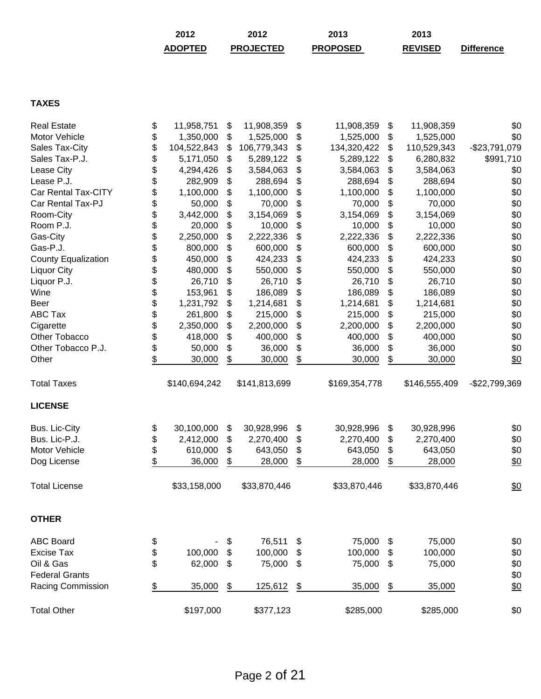| 2012           | 2012             | 2013            | 2013           |                   |
|----------------|------------------|-----------------|----------------|-------------------|
| <b>ADOPTED</b> | <b>PROJECTED</b> | <b>PROPOSED</b> | <b>REVISED</b> | <b>Difference</b> |

# **TAXES**

| <b>Real Estate</b>         | \$<br>11,958,751  | \$<br>11,908,359  | \$             | 11,908,359    | \$<br>11,908,359  | \$0            |
|----------------------------|-------------------|-------------------|----------------|---------------|-------------------|----------------|
| Motor Vehicle              | \$<br>1,350,000   | \$<br>1,525,000   | \$             | 1,525,000     | \$<br>1,525,000   | \$0            |
| Sales Tax-City             | \$<br>104,522,843 | \$<br>106,779,343 | \$             | 134,320,422   | \$<br>110,529,343 | -\$23,791,079  |
| Sales Tax-P.J.             | \$<br>5,171,050   | \$<br>5,289,122   | \$             | 5,289,122     | \$<br>6,280,832   | \$991,710      |
| Lease City                 | \$<br>4,294,426   | \$<br>3,584,063   | \$             | 3,584,063     | \$<br>3,584,063   | \$0            |
| Lease P.J.                 | \$<br>282,909     | \$<br>288,694     | \$             | 288,694       | \$<br>288,694     | \$0            |
| Car Rental Tax-CITY        | \$<br>1,100,000   | \$<br>1,100,000   | \$             | 1,100,000     | \$<br>1,100,000   | \$0            |
| Car Rental Tax-PJ          | \$<br>50,000      | \$<br>70,000      | \$             | 70,000        | \$<br>70,000      | \$0            |
| Room-City                  | \$<br>3,442,000   | \$<br>3,154,069   | \$             | 3,154,069     | \$<br>3,154,069   | \$0            |
| Room P.J.                  | \$<br>20,000      | \$<br>10,000      | \$             | 10,000        | \$<br>10,000      | \$0            |
| Gas-City                   | \$<br>2,250,000   | \$<br>2,222,336   | \$             | 2,222,336     | \$<br>2,222,336   | \$0            |
| Gas-P.J.                   | \$<br>800,000     | \$<br>600,000     | \$             | 600,000       | \$<br>600,000     | \$0            |
| <b>County Equalization</b> | \$<br>450,000     | \$<br>424,233     | \$             | 424,233       | \$<br>424,233     | \$0            |
| <b>Liquor City</b>         | \$<br>480,000     | \$<br>550,000     | \$             | 550,000       | \$<br>550,000     | \$0            |
| Liquor P.J.                | \$<br>26,710      | \$<br>26,710      | \$             | 26,710        | \$<br>26,710      | \$0            |
| Wine                       | \$<br>153,961     | \$<br>186,089     | \$             | 186,089       | \$<br>186,089     | \$0            |
| Beer                       | \$<br>1,231,792   | \$<br>1,214,681   | \$             | 1,214,681     | \$<br>1,214,681   | \$0            |
| <b>ABC Tax</b>             | \$<br>261,800     | \$<br>215,000     | \$             | 215,000       | \$<br>215,000     | \$0            |
| Cigarette                  | \$<br>2,350,000   | \$<br>2,200,000   | \$             | 2,200,000     | \$<br>2,200,000   | \$0            |
| Other Tobacco              | \$<br>418,000     | \$<br>400,000     | \$             | 400,000       | \$<br>400,000     | \$0            |
| Other Tobacco P.J.         | \$<br>50,000      | \$<br>36,000      | \$             | 36,000        | \$<br>36,000      | \$0            |
| Other                      | \$<br>30,000      | \$<br>30,000      | \$             | 30,000        | \$<br>30,000      | \$0            |
| <b>Total Taxes</b>         | \$140,694,242     | \$141,813,699     |                | \$169,354,778 | \$146,555,409     | $-$22,799,369$ |
| <b>LICENSE</b>             |                   |                   |                |               |                   |                |
| Bus. Lic-City              | \$<br>30,100,000  | \$<br>30,928,996  | \$             | 30,928,996    | \$<br>30,928,996  | \$0            |
| Bus. Lic-P.J.              | \$<br>2,412,000   | \$<br>2,270,400   | \$             | 2,270,400     | \$<br>2,270,400   | \$0            |
| Motor Vehicle              | \$<br>610,000     | \$<br>643,050     | \$             | 643,050       | \$<br>643,050     | \$0            |
| Dog License                | \$<br>36,000      | \$<br>28,000      | \$             | 28,000        | \$<br>28,000      | \$0            |
| <b>Total License</b>       | \$33,158,000      | \$33,870,446      |                | \$33,870,446  | \$33,870,446      | \$0            |
| <b>OTHER</b>               |                   |                   |                |               |                   |                |
| <b>ABC Board</b>           | \$                | \$<br>76,511      | \$             | 75,000        | \$<br>75,000      | \$0            |
| <b>Excise Tax</b>          | \$<br>100,000     | \$<br>100,000     | $\mathfrak{F}$ | 100,000       | \$<br>100,000     | \$0            |
| Oil & Gas                  | \$<br>62,000      | \$<br>75,000      | \$             | 75,000        | \$<br>75,000      | \$0            |
| <b>Federal Grants</b>      |                   |                   |                |               |                   | \$0            |
| Racing Commission          | \$<br>35,000      | \$<br>125,612     | \$             | 35,000        | \$<br>35,000      | \$0            |
| <b>Total Other</b>         | \$197,000         | \$377,123         |                | \$285,000     | \$285,000         | \$0            |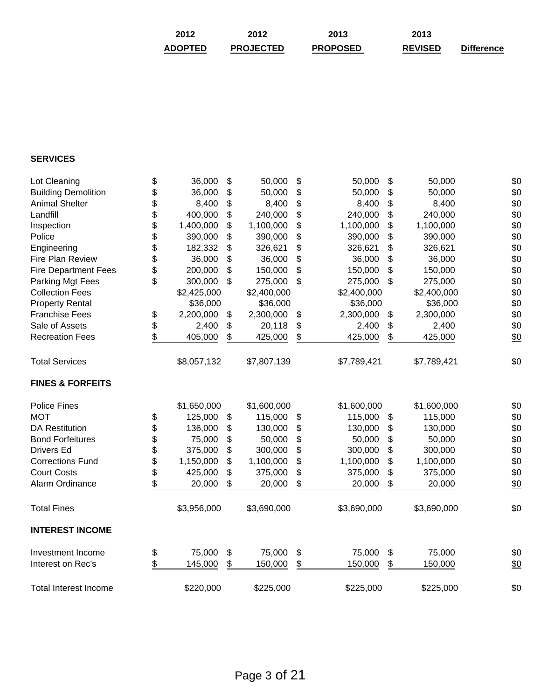| <b>SERVICES</b>             |                 |              |             |                 |                 |     |
|-----------------------------|-----------------|--------------|-------------|-----------------|-----------------|-----|
| Lot Cleaning                | \$<br>36,000    | \$           | 50,000      | \$<br>50,000    | \$<br>50,000    | \$0 |
| <b>Building Demolition</b>  | \$<br>36,000    | \$           | 50,000      | \$<br>50,000    | \$<br>50,000    | \$0 |
| <b>Animal Shelter</b>       | \$<br>8,400     | \$           | 8,400       | \$<br>8,400     | \$<br>8,400     | \$0 |
| Landfill                    | \$<br>400,000   | \$           | 240,000     | \$<br>240,000   | \$<br>240,000   | \$0 |
| Inspection                  | \$<br>1,400,000 | \$           | 1,100,000   | \$<br>1,100,000 | \$<br>1,100,000 | \$0 |
| Police                      | \$<br>390,000   | \$           | 390,000     | \$<br>390,000   | \$<br>390,000   | \$0 |
| Engineering                 | \$<br>182,332   | \$           | 326,621     | \$<br>326,621   | \$<br>326,621   | \$0 |
| Fire Plan Review            | \$<br>36,000    | \$           | 36,000      | \$<br>36,000    | \$<br>36,000    | \$0 |
| <b>Fire Department Fees</b> | \$<br>200,000   | \$           | 150,000     | \$<br>150,000   | \$<br>150,000   | \$0 |
| Parking Mgt Fees            | \$<br>300,000   | $\mathbb{S}$ | 275,000     | \$<br>275,000   | \$<br>275,000   | \$0 |
| <b>Collection Fees</b>      | \$2,425,000     |              | \$2,400,000 | \$2,400,000     | \$2,400,000     | \$0 |
| <b>Property Rental</b>      | \$36,000        |              | \$36,000    | \$36,000        | \$36,000        | \$0 |
| <b>Franchise Fees</b>       | \$<br>2,200,000 | \$           | 2,300,000   | \$<br>2,300,000 | \$<br>2,300,000 | \$0 |
| Sale of Assets              | \$<br>2,400     | \$           | 20,118      | \$<br>2,400     | \$<br>2,400     | \$0 |
| <b>Recreation Fees</b>      | \$<br>405,000   | \$           | 425,000     | \$<br>425,000   | \$<br>425,000   | \$0 |
| <b>Total Services</b>       | \$8,057,132     |              | \$7,807,139 | \$7,789,421     | \$7,789,421     | \$0 |
| <b>FINES &amp; FORFEITS</b> |                 |              |             |                 |                 |     |
| <b>Police Fines</b>         | \$1,650,000     |              | \$1,600,000 | \$1,600,000     | \$1,600,000     | \$0 |
| <b>MOT</b>                  | \$<br>125,000   | \$           | 115,000     | \$<br>115,000   | \$<br>115,000   | \$0 |
| <b>DA Restitution</b>       | \$<br>136,000   | \$           | 130,000     | \$<br>130,000   | \$<br>130,000   | \$0 |
| <b>Bond Forfeitures</b>     | \$<br>75,000    | \$           | 50,000      | \$<br>50,000    | \$<br>50,000    | \$0 |
| <b>Drivers Ed</b>           | \$<br>375,000   | \$           | 300,000     | \$<br>300,000   | \$<br>300,000   | \$0 |
| <b>Corrections Fund</b>     | \$<br>1,150,000 | \$           | 1,100,000   | \$<br>1,100,000 | \$<br>1,100,000 | \$0 |
| <b>Court Costs</b>          | \$<br>425,000   | \$           | 375,000     | \$<br>375,000   | \$<br>375,000   | \$0 |
| Alarm Ordinance             | \$<br>20,000    | \$           | 20,000      | \$<br>20,000    | \$<br>20,000    | \$0 |
| <b>Total Fines</b>          | \$3,956,000     |              | \$3,690,000 | \$3,690,000     | \$3,690,000     | \$0 |
| <b>INTEREST INCOME</b>      |                 |              |             |                 |                 |     |
| Investment Income           | \$<br>75,000    | \$           | 75,000      | \$<br>75,000    | \$<br>75,000    | \$0 |
| Interest on Rec's           | \$<br>145,000   | \$           | 150,000     | \$<br>150,000   | \$<br>150,000   | \$0 |
| Total Interest Income       | \$220,000       |              | \$225,000   | \$225,000       | \$225,000       | \$0 |
|                             |                 |              |             |                 |                 |     |

| 2012    | 2012             | 2013            | 2013           |                   |
|---------|------------------|-----------------|----------------|-------------------|
| ADOPTED | <b>PROJECTED</b> | <b>PROPOSED</b> | <b>REVISED</b> | <b>Difference</b> |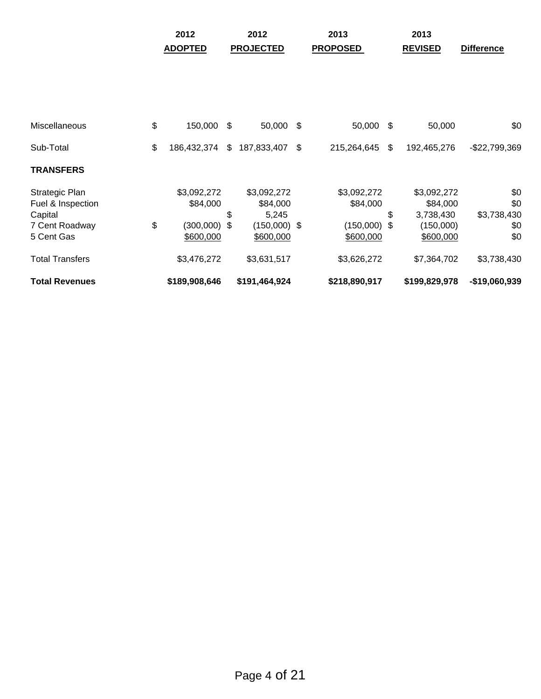|                                                | 2012                              | 2012                                   | 2013                        |     | 2013                                 |                           |
|------------------------------------------------|-----------------------------------|----------------------------------------|-----------------------------|-----|--------------------------------------|---------------------------|
|                                                | <b>ADOPTED</b>                    | <b>PROJECTED</b>                       | <b>PROPOSED</b>             |     | <b>REVISED</b>                       | <b>Difference</b>         |
| <b>Miscellaneous</b>                           | \$<br>150,000                     | \$<br>50,000 \$                        | 50,000                      | -\$ | 50,000                               | \$0                       |
| Sub-Total                                      | \$<br>186,432,374                 | \$<br>187,833,407 \$                   | 215,264,645                 | \$  | 192,465,276                          | $-$22,799,369$            |
| <b>TRANSFERS</b>                               |                                   |                                        |                             |     |                                      |                           |
| Strategic Plan<br>Fuel & Inspection<br>Capital | \$3,092,272<br>\$84,000           | \$<br>\$3,092,272<br>\$84,000<br>5,245 | \$3,092,272<br>\$84,000     | \$  | \$3,092,272<br>\$84,000<br>3,738,430 | \$0<br>\$0<br>\$3,738,430 |
| 7 Cent Roadway<br>5 Cent Gas                   | \$<br>$(300,000)$ \$<br>\$600,000 | $(150,000)$ \$<br>\$600,000            | $(150,000)$ \$<br>\$600,000 |     | (150,000)<br>\$600,000               | \$0<br>\$0                |
| <b>Total Transfers</b>                         | \$3,476,272                       | \$3,631,517                            | \$3,626,272                 |     | \$7,364,702                          | \$3,738,430               |
| <b>Total Revenues</b>                          | \$189,908,646                     | \$191,464,924                          | \$218,890,917               |     | \$199,829,978                        | -\$19,060,939             |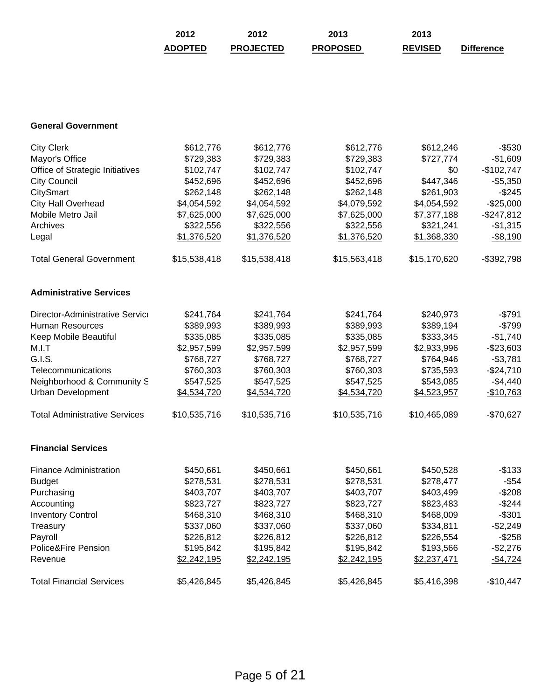| 2012           | 2012             | 2013            | 2013           |                   |
|----------------|------------------|-----------------|----------------|-------------------|
| <b>ADOPTED</b> | <b>PROJECTED</b> | <b>PROPOSED</b> | <b>REVISED</b> | <b>Difference</b> |

## **General Government**

| <b>City Clerk</b>                    | \$612,776    | \$612,776    | \$612,776    | \$612,246    | $-$ \$530     |
|--------------------------------------|--------------|--------------|--------------|--------------|---------------|
| Mayor's Office                       | \$729,383    | \$729,383    | \$729,383    | \$727,774    | $-$1,609$     |
| Office of Strategic Initiatives      | \$102,747    | \$102,747    | \$102,747    | \$0          | $-$102,747$   |
| <b>City Council</b>                  | \$452,696    | \$452,696    | \$452,696    | \$447,346    | $-$5,350$     |
| CitySmart                            | \$262,148    | \$262,148    | \$262,148    | \$261,903    | $-$245$       |
| City Hall Overhead                   | \$4,054,592  | \$4,054,592  | \$4,079,592  | \$4,054,592  | $-$25,000$    |
| Mobile Metro Jail                    | \$7,625,000  | \$7,625,000  | \$7,625,000  | \$7,377,188  | $-$247,812$   |
| Archives                             | \$322,556    | \$322,556    | \$322,556    | \$321,241    | $-$1,315$     |
| Legal                                | \$1,376,520  | \$1,376,520  | \$1,376,520  | \$1,368,330  | $-$ \$8,190   |
| <b>Total General Government</b>      | \$15,538,418 | \$15,538,418 | \$15,563,418 | \$15,170,620 | $-$ \$392,798 |
| <b>Administrative Services</b>       |              |              |              |              |               |
| Director-Administrative Service      | \$241,764    | \$241,764    | \$241,764    | \$240,973    | $-$791$       |
| <b>Human Resources</b>               | \$389,993    | \$389,993    | \$389,993    | \$389,194    | $-$799$       |
| Keep Mobile Beautiful                | \$335,085    | \$335,085    | \$335,085    | \$333,345    | $-$1,740$     |
| M.I.T                                | \$2,957,599  | \$2,957,599  | \$2,957,599  | \$2,933,996  | $-$23,603$    |
| G.I.S.                               | \$768,727    | \$768,727    | \$768,727    | \$764,946    | $-$3,781$     |
| Telecommunications                   | \$760,303    | \$760,303    | \$760,303    | \$735,593    | $-$24,710$    |
| Neighborhood & Community S           | \$547,525    | \$547,525    | \$547,525    | \$543,085    | $-$4,440$     |
| <b>Urban Development</b>             | \$4,534,720  | \$4,534,720  | \$4,534,720  | \$4,523,957  | $-$10,763$    |
| <b>Total Administrative Services</b> | \$10,535,716 | \$10,535,716 | \$10,535,716 | \$10,465,089 | $-$70,627$    |
| <b>Financial Services</b>            |              |              |              |              |               |
| <b>Finance Administration</b>        | \$450,661    | \$450,661    | \$450,661    | \$450,528    | $-$133$       |
| <b>Budget</b>                        | \$278,531    | \$278,531    | \$278,531    | \$278,477    | $-$ \$54      |
| Purchasing                           | \$403,707    | \$403,707    | \$403,707    | \$403,499    | $-$208$       |
| Accounting                           | \$823,727    | \$823,727    | \$823,727    | \$823,483    | $-$244$       |
| <b>Inventory Control</b>             | \$468,310    | \$468,310    | \$468,310    | \$468,009    | $-$301$       |
| Treasury                             | \$337,060    | \$337,060    | \$337,060    | \$334,811    | $-$2,249$     |
| Payroll                              | \$226,812    | \$226,812    | \$226,812    | \$226,554    | $-$258$       |
| Police&Fire Pension                  | \$195,842    | \$195,842    | \$195,842    | \$193,566    | $-$2,276$     |
| Revenue                              | \$2,242,195  | \$2,242,195  | \$2,242,195  | \$2,237,471  | $-$4,724$     |
| <b>Total Financial Services</b>      | \$5,426,845  | \$5,426,845  | \$5,426,845  | \$5,416,398  | $-$10,447$    |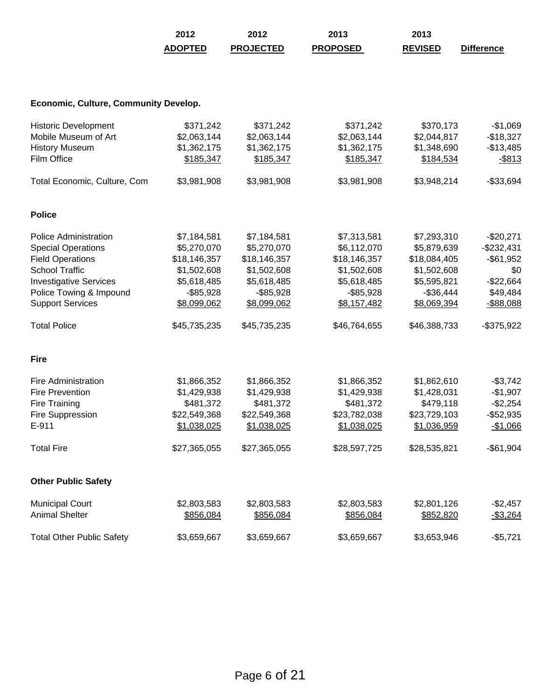|                                       | 2012<br><b>ADOPTED</b> | 2012<br><b>PROJECTED</b> | 2013<br><b>PROPOSED</b> | 2013<br><b>REVISED</b> | <b>Difference</b> |
|---------------------------------------|------------------------|--------------------------|-------------------------|------------------------|-------------------|
|                                       |                        |                          |                         |                        |                   |
| Economic, Culture, Community Develop. |                        |                          |                         |                        |                   |
| <b>Historic Development</b>           | \$371,242              | \$371,242                | \$371,242               | \$370,173              | $-$1,069$         |
| Mobile Museum of Art                  | \$2,063,144            | \$2,063,144              | \$2,063,144             | \$2,044,817            | $-$18,327$        |
| <b>History Museum</b>                 | \$1,362,175            | \$1,362,175              | \$1,362,175             | \$1,348,690            | $-$13,485$        |
| <b>Film Office</b>                    | \$185,347              | \$185,347                | \$185,347               | \$184,534              | $-$ \$813         |
| Total Economic, Culture, Com          | \$3,981,908            | \$3,981,908              | \$3,981,908             | \$3,948,214            | $-$33,694$        |
| <b>Police</b>                         |                        |                          |                         |                        |                   |
| <b>Police Administration</b>          | \$7,184,581            | \$7,184,581              | \$7,313,581             | \$7,293,310            | $-$20,271$        |
| <b>Special Operations</b>             | \$5,270,070            | \$5,270,070              | \$6,112,070             | \$5,879,639            | $-$ \$232,431     |
| <b>Field Operations</b>               | \$18,146,357           | \$18,146,357             | \$18,146,357            | \$18,084,405           | $-$ \$61,952      |
| <b>School Traffic</b>                 | \$1,502,608            | \$1,502,608              | \$1,502,608             | \$1,502,608            | \$0               |
| <b>Investigative Services</b>         | \$5,618,485            | \$5,618,485              | \$5,618,485             | \$5,595,821            | $-$22,664$        |
| Police Towing & Impound               | $-$ \$85,928           | $-$ \$85,928             | $-$ \$85,928            | $-$36,444$             | \$49,484          |
| <b>Support Services</b>               | \$8,099,062            | \$8,099,062              | \$8,157,482             | \$8,069,394            | $-$ \$88,088      |
| <b>Total Police</b>                   | \$45,735,235           | \$45,735,235             | \$46,764,655            | \$46,388,733           | $-$375,922$       |
| Fire                                  |                        |                          |                         |                        |                   |
| <b>Fire Administration</b>            | \$1,866,352            | \$1,866,352              | \$1,866,352             | \$1,862,610            | $-$3,742$         |
| <b>Fire Prevention</b>                | \$1,429,938            | \$1,429,938              | \$1,429,938             | \$1,428,031            | $-$1,907$         |
| <b>Fire Training</b>                  | \$481,372              | \$481,372                | \$481,372               | \$479,118              | $-$2,254$         |
| <b>Fire Suppression</b>               | \$22,549,368           | \$22,549,368             | \$23,782,038            | \$23,729,103           | $-$52,935$        |
| E-911                                 | \$1,038,025            | \$1,038,025              | \$1,038,025             | \$1,036,959            | $-$1,066$         |
| <b>Total Fire</b>                     | \$27,365,055           | \$27,365,055             | \$28,597,725            | \$28,535,821           | $-$61,904$        |
| <b>Other Public Safety</b>            |                        |                          |                         |                        |                   |
| <b>Municipal Court</b>                | \$2,803,583            | \$2,803,583              | \$2,803,583             | \$2,801,126            | $-$2,457$         |
| Animal Shelter                        | \$856,084              | \$856,084                | \$856,084               | \$852,820              | $-$3,264$         |
| <b>Total Other Public Safety</b>      | \$3,659,667            | \$3,659,667              | \$3,659,667             | \$3,653,946            | $-$5,721$         |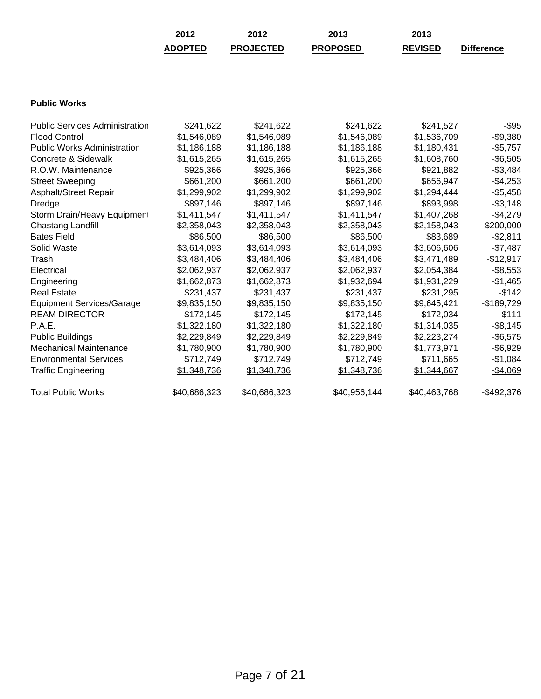|                                       | 2012           | 2012             | 2013            | 2013           |                   |
|---------------------------------------|----------------|------------------|-----------------|----------------|-------------------|
|                                       | <b>ADOPTED</b> | <b>PROJECTED</b> | <b>PROPOSED</b> | <b>REVISED</b> | <b>Difference</b> |
|                                       |                |                  |                 |                |                   |
|                                       |                |                  |                 |                |                   |
| <b>Public Works</b>                   |                |                  |                 |                |                   |
| <b>Public Services Administration</b> | \$241,622      | \$241,622        | \$241,622       | \$241,527      | $-$ \$95          |
| <b>Flood Control</b>                  | \$1,546,089    | \$1,546,089      | \$1,546,089     | \$1,536,709    | $-$9,380$         |
| <b>Public Works Administration</b>    | \$1,186,188    | \$1,186,188      | \$1,186,188     | \$1,180,431    | $-$5,757$         |
| Concrete & Sidewalk                   | \$1,615,265    | \$1,615,265      | \$1,615,265     | \$1,608,760    | $-$ \$6,505       |
| R.O.W. Maintenance                    | \$925,366      | \$925,366        | \$925,366       | \$921,882      | $-$3,484$         |
| <b>Street Sweeping</b>                | \$661,200      | \$661,200        | \$661,200       | \$656,947      | $-$4,253$         |
| Asphalt/Street Repair                 | \$1,299,902    | \$1,299,902      | \$1,299,902     | \$1,294,444    | $-$5,458$         |
| Dredge                                | \$897,146      | \$897,146        | \$897,146       | \$893,998      | $- $3,148$        |
| Storm Drain/Heavy Equipment           | \$1,411,547    | \$1,411,547      | \$1,411,547     | \$1,407,268    | $-$4,279$         |
| Chastang Landfill                     | \$2,358,043    | \$2,358,043      | \$2,358,043     | \$2,158,043    | $-$200,000$       |
| <b>Bates Field</b>                    | \$86,500       | \$86,500         | \$86,500        | \$83,689       | $-$2,811$         |
| Solid Waste                           | \$3,614,093    | \$3,614,093      | \$3,614,093     | \$3,606,606    | $-$7,487$         |
| Trash                                 | \$3,484,406    | \$3,484,406      | \$3,484,406     | \$3,471,489    | $-$12,917$        |
| Electrical                            | \$2,062,937    | \$2,062,937      | \$2,062,937     | \$2,054,384    | $-$ \$8,553       |
| Engineering                           | \$1,662,873    | \$1,662,873      | \$1,932,694     | \$1,931,229    | $-$1,465$         |
| <b>Real Estate</b>                    | \$231,437      | \$231,437        | \$231,437       | \$231,295      | $-$142$           |
| <b>Equipment Services/Garage</b>      | \$9,835,150    | \$9,835,150      | \$9,835,150     | \$9,645,421    | $-$189,729$       |
| <b>REAM DIRECTOR</b>                  | \$172,145      | \$172,145        | \$172,145       | \$172,034      | $-$111$           |
| P.A.E.                                | \$1,322,180    | \$1,322,180      | \$1,322,180     | \$1,314,035    | $-$ \$8,145       |
| <b>Public Buildings</b>               | \$2,229,849    | \$2,229,849      | \$2,229,849     | \$2,223,274    | $-$6,575$         |
| <b>Mechanical Maintenance</b>         | \$1,780,900    | \$1,780,900      | \$1,780,900     | \$1,773,971    | $-$ \$6,929       |
| <b>Environmental Services</b>         | \$712,749      | \$712,749        | \$712,749       | \$711,665      | $-$1,084$         |
| <b>Traffic Engineering</b>            | \$1,348,736    | \$1,348,736      | \$1,348,736     | \$1,344,667    | $-$4,069$         |
| <b>Total Public Works</b>             | \$40,686,323   | \$40,686,323     | \$40,956,144    | \$40,463,768   | $-$492,376$       |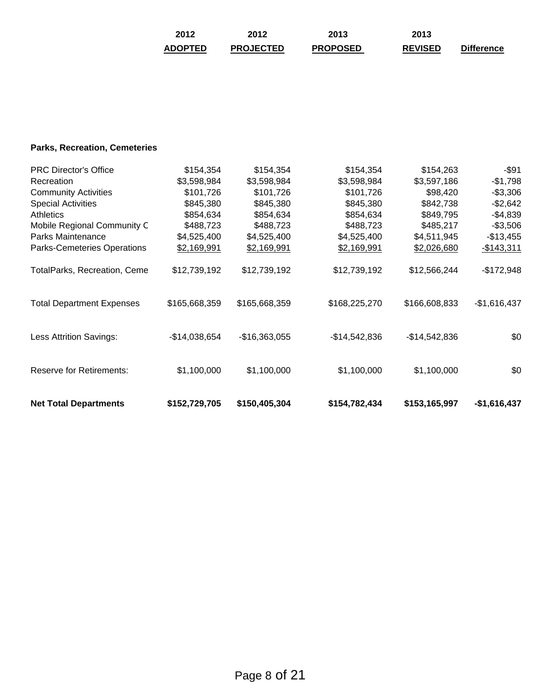| 2012           | 2012             | 2013            | 2013           |                   |
|----------------|------------------|-----------------|----------------|-------------------|
| <b>ADOPTED</b> | <b>PROJECTED</b> | <b>PROPOSED</b> | <b>REVISED</b> | <b>Difference</b> |

# **Parks, Recreation, Cemeteries**

| <b>Net Total Departments</b>                    | \$152,729,705          | \$150,405,304          | \$154,782,434          | \$153,165,997          | $-$1,616,437$            |
|-------------------------------------------------|------------------------|------------------------|------------------------|------------------------|--------------------------|
| <b>Reserve for Retirements:</b>                 | \$1,100,000            | \$1,100,000            | \$1,100,000            | \$1,100,000            | \$0                      |
| <b>Less Attrition Savings:</b>                  | $-$14,038,654$         | $-$16,363,055$         | $-$14,542,836$         | $-$14,542,836$         | \$0                      |
| <b>Total Department Expenses</b>                | \$165,668,359          | \$165,668,359          | \$168,225,270          | \$166,608,833          | $-$1,616,437$            |
| TotalParks, Recreation, Ceme                    | \$12,739,192           | \$12,739,192           | \$12,739,192           | \$12,566,244           | $-$172,948$              |
| Parks-Cemeteries Operations                     | \$2,169,991            | \$2,169,991            | \$2,169,991            | \$2,026,680            | $-$143,311$              |
| <b>Parks Maintenance</b>                        | \$4,525,400            | \$4,525,400            | \$4,525,400            | \$4,511,945            | $-$13,455$               |
| <b>Athletics</b><br>Mobile Regional Community C | \$854,634<br>\$488,723 | \$854,634<br>\$488,723 | \$854,634<br>\$488,723 | \$849,795<br>\$485,217 | $-$4,839$<br>$-$ \$3,506 |
| <b>Special Activities</b>                       | \$845,380              | \$845,380              | \$845,380              | \$842,738              | $-$2,642$                |
| <b>Community Activities</b>                     | \$101,726              | \$101,726              | \$101,726              | \$98,420               | $-$ \$3,306              |
| Recreation                                      | \$3,598,984            | \$3,598,984            | \$3,598,984            | \$3,597,186            | $-$1,798$                |
| <b>PRC Director's Office</b>                    | \$154,354              | \$154,354              | \$154,354              | \$154,263              | -\$91                    |
|                                                 |                        |                        |                        |                        |                          |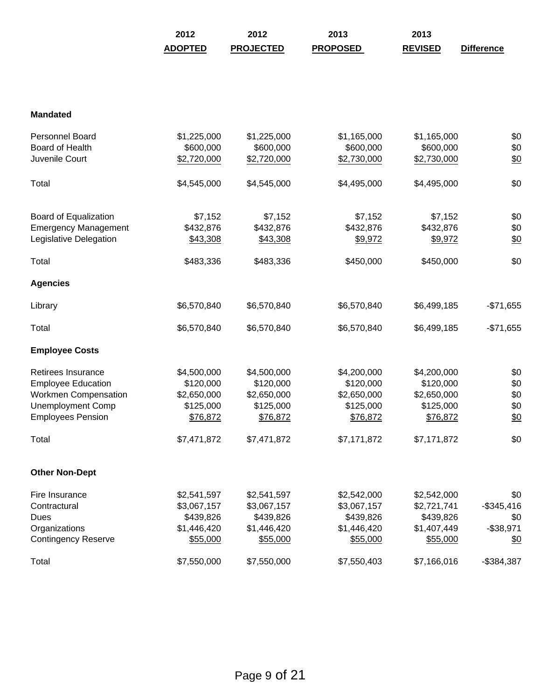| 2012           | 2012             | 2013            | 2013           |                   |
|----------------|------------------|-----------------|----------------|-------------------|
| <b>ADOPTED</b> | <b>PROJECTED</b> | <b>PROPOSED</b> | <b>REVISED</b> | <b>Difference</b> |

#### **Mandated**

| <b>Personnel Board</b>      | \$1,225,000 | \$1,225,000 | \$1,165,000 | \$1,165,000 | \$0           |
|-----------------------------|-------------|-------------|-------------|-------------|---------------|
| Board of Health             | \$600,000   | \$600,000   | \$600,000   | \$600,000   | \$0           |
| Juvenile Court              | \$2,720,000 | \$2,720,000 | \$2,730,000 | \$2,730,000 | \$0           |
| Total                       | \$4,545,000 | \$4,545,000 | \$4,495,000 | \$4,495,000 | \$0           |
| Board of Equalization       | \$7,152     | \$7,152     | \$7,152     | \$7,152     | \$0           |
| <b>Emergency Management</b> | \$432,876   | \$432,876   | \$432,876   | \$432,876   | \$0           |
| Legislative Delegation      | \$43,308    | \$43,308    | \$9,972     | \$9,972     | \$0           |
| Total                       | \$483,336   | \$483,336   | \$450,000   | \$450,000   | \$0           |
| <b>Agencies</b>             |             |             |             |             |               |
| Library                     | \$6,570,840 | \$6,570,840 | \$6,570,840 | \$6,499,185 | $-$71,655$    |
| Total                       | \$6,570,840 | \$6,570,840 | \$6,570,840 | \$6,499,185 | $-$71,655$    |
| <b>Employee Costs</b>       |             |             |             |             |               |
| Retirees Insurance          | \$4,500,000 | \$4,500,000 | \$4,200,000 | \$4,200,000 | \$0           |
| <b>Employee Education</b>   | \$120,000   | \$120,000   | \$120,000   | \$120,000   | \$0           |
| <b>Workmen Compensation</b> | \$2,650,000 | \$2,650,000 | \$2,650,000 | \$2,650,000 | \$0           |
| <b>Unemployment Comp</b>    | \$125,000   | \$125,000   | \$125,000   | \$125,000   | \$0           |
| <b>Employees Pension</b>    | \$76,872    | \$76,872    | \$76,872    | \$76,872    | \$0           |
| Total                       | \$7,471,872 | \$7,471,872 | \$7,171,872 | \$7,171,872 | \$0           |
| <b>Other Non-Dept</b>       |             |             |             |             |               |
| Fire Insurance              | \$2,541,597 | \$2,541,597 | \$2,542,000 | \$2,542,000 | \$0           |
| Contractural                | \$3,067,157 | \$3,067,157 | \$3,067,157 | \$2,721,741 | $-$ \$345,416 |
| Dues                        | \$439,826   | \$439,826   | \$439,826   | \$439,826   | \$0           |
| Organizations               | \$1,446,420 | \$1,446,420 | \$1,446,420 | \$1,407,449 | $-$ \$38,971  |
| <b>Contingency Reserve</b>  | \$55,000    | \$55,000    | \$55,000    | \$55,000    | \$0           |
| Total                       | \$7,550,000 | \$7,550,000 | \$7,550,403 | \$7,166,016 | $-$ \$384,387 |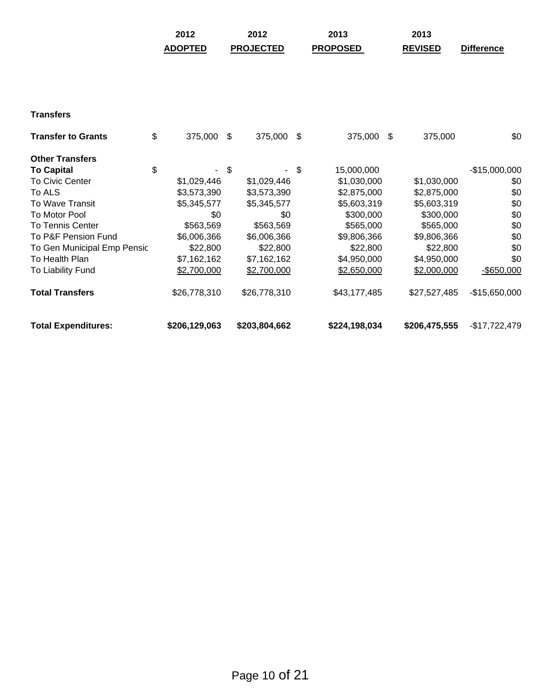|                             | 2012<br><b>ADOPTED</b> | 2012<br><b>PROJECTED</b> |      | 2013<br><b>PROPOSED</b> |     | 2013<br><b>REVISED</b> | <b>Difference</b> |
|-----------------------------|------------------------|--------------------------|------|-------------------------|-----|------------------------|-------------------|
|                             |                        |                          |      |                         |     |                        |                   |
| <b>Transfers</b>            |                        |                          |      |                         |     |                        |                   |
| <b>Transfer to Grants</b>   | \$<br>375,000          | \$<br>375,000            | - \$ | 375,000                 | -\$ | 375,000                | \$0               |
| <b>Other Transfers</b>      |                        |                          |      |                         |     |                        |                   |
| <b>To Capital</b>           | \$                     | \$                       | \$   | 15,000,000              |     |                        | $-$15,000,000$    |
| <b>To Civic Center</b>      | \$1,029,446            | \$1,029,446              |      | \$1,030,000             |     | \$1,030,000            | \$0               |
| To ALS                      | \$3,573,390            | \$3,573,390              |      | \$2,875,000             |     | \$2,875,000            | \$0               |
| To Wave Transit             | \$5,345,577            | \$5,345,577              |      | \$5,603,319             |     | \$5,603,319            | \$0               |
| <b>To Motor Pool</b>        | \$0                    | \$0                      |      | \$300,000               |     | \$300,000              | \$0               |
| To Tennis Center            | \$563,569              | \$563,569                |      | \$565,000               |     | \$565,000              | \$0               |
| To P&F Pension Fund         | \$6,006,366            | \$6,006,366              |      | \$9,806,366             |     | \$9,806,366            | \$0               |
| To Gen Municipal Emp Pensic | \$22,800               | \$22,800                 |      | \$22,800                |     | \$22,800               | \$0               |
| To Health Plan              | \$7,162,162            | \$7,162,162              |      | \$4,950,000             |     | \$4,950,000            | \$0               |
| To Liability Fund           | \$2,700,000            | \$2,700,000              |      | \$2,650,000             |     | \$2,000,000            | $-$650,000$       |
| <b>Total Transfers</b>      | \$26,778,310           | \$26,778,310             |      | \$43,177,485            |     | \$27,527,485           | $-$15,650,000$    |
| <b>Total Expenditures:</b>  | \$206,129,063          | \$203,804,662            |      | \$224,198,034           |     | \$206,475,555          | $-$17,722,479$    |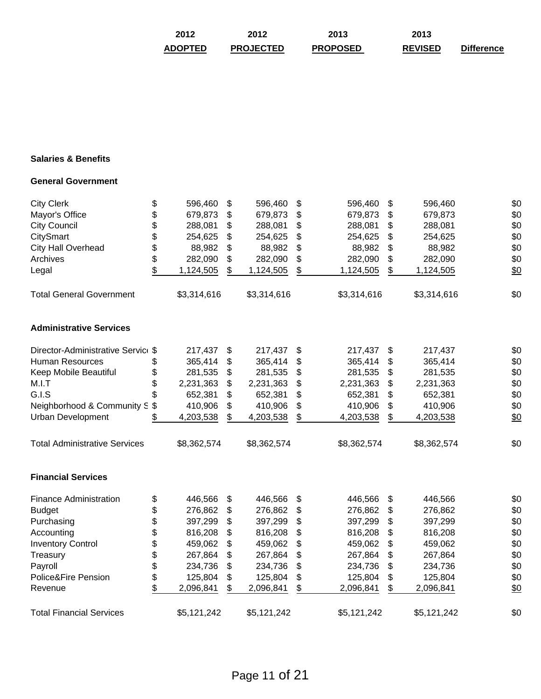| 2012    | 2012             | 2013            | 2013           |                   |
|---------|------------------|-----------------|----------------|-------------------|
| ADOPTED | <b>PROJECTED</b> | <b>PROPOSED</b> | <b>REVISED</b> | <b>Difference</b> |

# **Salaries & Benefits**

## **General Government**

| <b>City Clerk</b>                    | \$<br>596,460   | \$<br>596,460   | \$<br>596,460   | \$<br>596,460   | \$0 |
|--------------------------------------|-----------------|-----------------|-----------------|-----------------|-----|
| Mayor's Office                       | \$<br>679,873   | \$<br>679,873   | \$<br>679,873   | \$<br>679,873   | \$0 |
| <b>City Council</b>                  | \$<br>288,081   | \$<br>288,081   | \$<br>288,081   | \$<br>288,081   | \$0 |
| CitySmart                            | \$<br>254,625   | \$<br>254,625   | \$<br>254,625   | \$<br>254,625   | \$0 |
| <b>City Hall Overhead</b>            | \$<br>88,982    | \$<br>88,982    | \$<br>88,982    | \$<br>88,982    | \$0 |
| Archives                             | \$<br>282,090   | \$<br>282,090   | \$<br>282,090   | \$<br>282,090   | \$0 |
| Legal                                | \$<br>1,124,505 | \$<br>1,124,505 | \$<br>1,124,505 | \$<br>1,124,505 | \$0 |
| <b>Total General Government</b>      | \$3,314,616     | \$3,314,616     | \$3,314,616     | \$3,314,616     | \$0 |
| <b>Administrative Services</b>       |                 |                 |                 |                 |     |
| Director-Administrative Service \$   | 217,437         | \$<br>217,437   | \$<br>217,437   | \$<br>217,437   | \$0 |
| <b>Human Resources</b>               | \$<br>365,414   | \$<br>365,414   | \$<br>365,414   | \$<br>365,414   | \$0 |
| Keep Mobile Beautiful                | \$<br>281,535   | \$<br>281,535   | \$<br>281,535   | \$<br>281,535   | \$0 |
| M.I.T                                | \$<br>2,231,363 | \$<br>2,231,363 | \$<br>2,231,363 | \$<br>2,231,363 | \$0 |
| G.I.S                                | \$<br>652,381   | \$<br>652,381   | \$<br>652,381   | \$<br>652,381   | \$0 |
| Neighborhood & Community S           | \$<br>410,906   | \$<br>410,906   | \$<br>410,906   | \$<br>410,906   | \$0 |
| <b>Urban Development</b>             | \$<br>4,203,538 | \$<br>4,203,538 | \$<br>4,203,538 | \$<br>4,203,538 | \$0 |
| <b>Total Administrative Services</b> | \$8,362,574     | \$8,362,574     | \$8,362,574     | \$8,362,574     | \$0 |
| <b>Financial Services</b>            |                 |                 |                 |                 |     |
| <b>Finance Administration</b>        | \$<br>446,566   | \$<br>446,566   | \$<br>446,566   | \$<br>446,566   | \$0 |
| <b>Budget</b>                        | \$<br>276,862   | \$<br>276,862   | \$<br>276,862   | \$<br>276,862   | \$0 |
| Purchasing                           | \$<br>397,299   | \$<br>397,299   | \$<br>397,299   | \$<br>397,299   | \$0 |
| Accounting                           | \$<br>816,208   | \$<br>816,208   | \$<br>816,208   | \$<br>816,208   | \$0 |
| <b>Inventory Control</b>             | \$<br>459,062   | \$<br>459,062   | \$<br>459,062   | \$<br>459,062   | \$0 |
| Treasury                             | \$<br>267,864   | \$<br>267,864   | \$<br>267,864   | \$<br>267,864   | \$0 |
| Payroll                              | \$<br>234,736   | \$<br>234,736   | \$<br>234,736   | \$<br>234,736   | \$0 |
| Police&Fire Pension                  | \$<br>125,804   | \$<br>125,804   | \$<br>125,804   | \$<br>125,804   | \$0 |
| Revenue                              | \$<br>2,096,841 | \$<br>2,096,841 | \$<br>2,096,841 | \$<br>2,096,841 | \$0 |
| <b>Total Financial Services</b>      | \$5,121,242     | \$5,121,242     | \$5,121,242     | \$5,121,242     | \$0 |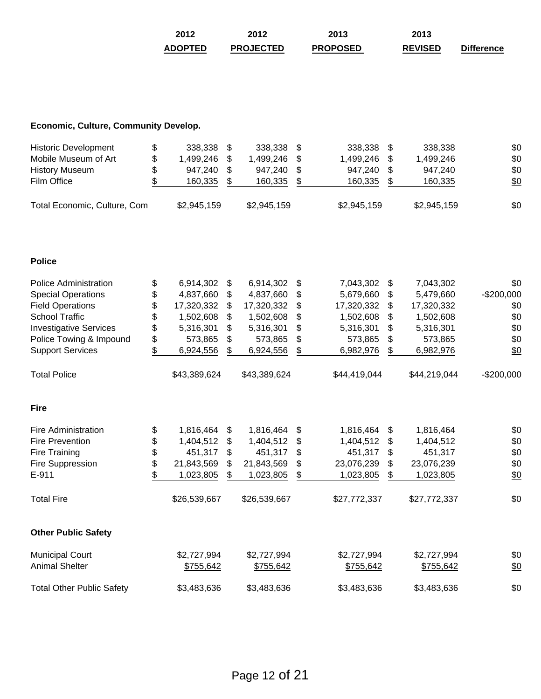| 2012           | 2012             | 2013            | 2013           |                   |
|----------------|------------------|-----------------|----------------|-------------------|
| <b>ADOPTED</b> | <b>PROJECTED</b> | <b>PROPOSED</b> | <b>REVISED</b> | <b>Difference</b> |

# **Economic, Culture, Community Develop.**

| <b>Historic Development</b><br>Mobile Museum of Art | 338.338<br>1.499.246 | 338.338 \$<br>1.499.246 \$ | 338,338 \$<br>1.499.246 \$ | 338,338<br>1.499.246 | \$0           |
|-----------------------------------------------------|----------------------|----------------------------|----------------------------|----------------------|---------------|
| <b>History Museum</b>                               | 947.240              | 947.240                    | 947.240                    | 947.240              | \$0<br>\$0    |
| Film Office                                         | 160.335              | 160.335                    | 160,335                    | 160,335              | $\frac{$0}{}$ |
| Total Economic, Culture, Com                        | \$2,945,159          | \$2,945,159                | \$2,945,159                | \$2,945,159          | \$0           |

### **Police**

| <b>Police Administration</b>     | \$<br>6,914,302  | \$<br>6,914,302  | \$ | 7,043,302    | \$ | 7,043,302    | \$0         |
|----------------------------------|------------------|------------------|----|--------------|----|--------------|-------------|
| <b>Special Operations</b>        | \$<br>4,837,660  | \$<br>4,837,660  | S  | 5,679,660    | S  | 5,479,660    | $-$200,000$ |
| <b>Field Operations</b>          | \$<br>17,320,332 | \$<br>17,320,332 | \$ | 17,320,332   | \$ | 17,320,332   | \$0         |
| <b>School Traffic</b>            | \$<br>1,502,608  | \$<br>1,502,608  | S  | 1,502,608    | \$ | 1,502,608    | \$0         |
| <b>Investigative Services</b>    | \$<br>5,316,301  | \$<br>5,316,301  | \$ | 5,316,301    | \$ | 5,316,301    | \$0         |
| Police Towing & Impound          | \$<br>573,865    | \$<br>573,865    | S  | 573,865      | S  | 573,865      | \$0         |
| <b>Support Services</b>          | \$<br>6,924,556  | \$<br>6,924,556  | \$ | 6,982,976    | \$ | 6,982,976    | \$0         |
| <b>Total Police</b>              | \$43,389,624     | \$43,389,624     |    | \$44,419,044 |    | \$44,219,044 | $-$200,000$ |
| <b>Fire</b>                      |                  |                  |    |              |    |              |             |
| <b>Fire Administration</b>       | \$<br>1,816,464  | \$<br>1,816,464  | \$ | 1,816,464    | \$ | 1,816,464    | \$0         |
| <b>Fire Prevention</b>           | \$<br>1,404,512  | \$<br>1,404,512  | \$ | 1,404,512    | S  | 1,404,512    | \$0         |
| Fire Training                    | \$<br>451,317    | \$<br>451,317    | S  | 451,317      | S  | 451,317      | \$0         |
| Fire Suppression                 | \$<br>21,843,569 | \$<br>21,843,569 | \$ | 23,076,239   | \$ | 23,076,239   | \$0         |
| E-911                            | \$<br>1,023,805  | \$<br>1,023,805  | \$ | 1,023,805    | \$ | 1,023,805    | \$0         |
| <b>Total Fire</b>                | \$26,539,667     | \$26,539,667     |    | \$27,772,337 |    | \$27,772,337 | \$0         |
| <b>Other Public Safety</b>       |                  |                  |    |              |    |              |             |
| <b>Municipal Court</b>           | \$2,727,994      | \$2,727,994      |    | \$2,727,994  |    | \$2,727,994  | \$0         |
| <b>Animal Shelter</b>            | \$755,642        | \$755,642        |    | \$755,642    |    | \$755,642    | \$0         |
| <b>Total Other Public Safety</b> | \$3,483,636      | \$3,483,636      |    | \$3,483,636  |    | \$3,483,636  | \$0         |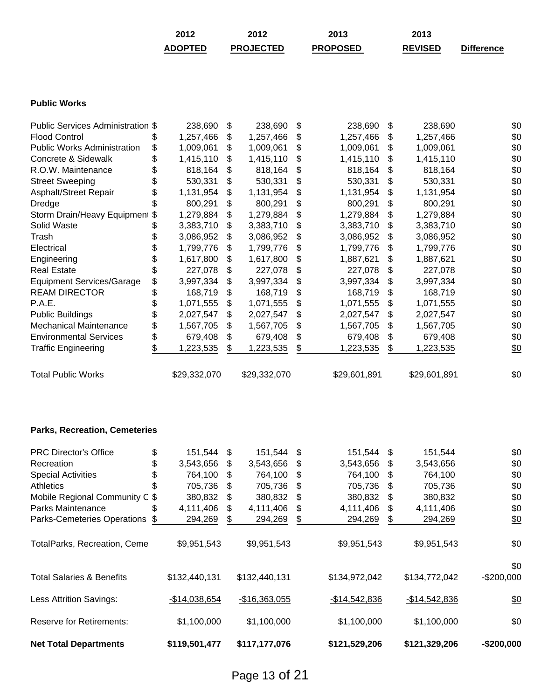|                                    | 2012<br><b>ADOPTED</b> |    | 2012<br><b>PROJECTED</b> | 2013<br><b>PROPOSED</b> | 2013<br><b>REVISED</b> | <b>Difference</b> |     |
|------------------------------------|------------------------|----|--------------------------|-------------------------|------------------------|-------------------|-----|
|                                    |                        |    |                          |                         |                        |                   |     |
| <b>Public Works</b>                |                        |    |                          |                         |                        |                   |     |
| Public Services Administration \$  | 238,690                | \$ | 238,690                  | \$<br>238,690           | \$<br>238,690          |                   | \$0 |
| <b>Flood Control</b>               | \$<br>1,257,466        | S  | 1,257,466                | \$<br>1,257,466         | \$<br>1,257,466        |                   | \$0 |
| <b>Public Works Administration</b> | \$<br>1,009,061        | \$ | 1,009,061                | \$<br>1,009,061         | \$<br>1,009,061        |                   | \$0 |
| Concrete & Sidewalk                | \$<br>1,415,110        | \$ | 1,415,110                | \$<br>1,415,110         | \$<br>1,415,110        |                   | \$0 |
| R.O.W. Maintenance                 | \$<br>818,164          | \$ | 818,164                  | \$<br>818,164           | \$<br>818,164          |                   | \$0 |
| <b>Street Sweeping</b>             | \$<br>530,331          | \$ | 530,331                  | \$<br>530,331           | \$<br>530,331          |                   | \$0 |
| Asphalt/Street Repair              | \$<br>1,131,954        | \$ | 1,131,954                | \$<br>1,131,954         | \$<br>1,131,954        |                   | \$0 |
| Dredge                             | \$<br>800,291          | \$ | 800,291                  | \$<br>800,291           | \$<br>800,291          |                   | \$0 |
| Storm Drain/Heavy Equipment        | \$<br>1,279,884        | \$ | 1,279,884                | \$<br>1,279,884         | \$<br>1,279,884        |                   | \$0 |
| Solid Waste                        | \$<br>3,383,710        | \$ | 3,383,710                | \$<br>3,383,710         | \$<br>3,383,710        |                   | \$0 |
| Trash                              | \$<br>3,086,952        | \$ | 3,086,952                | \$<br>3,086,952         | \$<br>3,086,952        |                   | \$0 |
| Electrical                         | \$<br>1,799,776        | \$ | 1,799,776                | \$<br>1,799,776         | \$<br>1,799,776        |                   | \$0 |
| Engineering                        | \$<br>1,617,800        | \$ | 1,617,800                | \$<br>1,887,621         | \$<br>1,887,621        |                   | \$0 |
| <b>Real Estate</b>                 | \$<br>227,078          | \$ | 227,078                  | \$<br>227,078           | \$<br>227,078          |                   | \$0 |
| <b>Equipment Services/Garage</b>   | \$<br>3,997,334        | \$ | 3,997,334                | \$<br>3,997,334         | \$<br>3,997,334        |                   | \$0 |
| <b>REAM DIRECTOR</b>               | \$<br>168,719          | \$ | 168,719                  | \$<br>168,719           | \$<br>168,719          |                   | \$0 |
| P.A.E.                             | \$<br>1,071,555        | \$ | 1,071,555                | \$<br>1,071,555         | \$<br>1,071,555        |                   | \$0 |
| <b>Public Buildings</b>            | \$<br>2,027,547        | \$ | 2,027,547                | \$<br>2,027,547         | \$<br>2,027,547        |                   | \$0 |
| <b>Mechanical Maintenance</b>      | \$<br>1,567,705        | \$ | 1,567,705                | \$<br>1,567,705         | \$<br>1,567,705        |                   | \$0 |
| <b>Environmental Services</b>      | \$<br>679,408          | \$ | 679,408                  | \$<br>679,408           | \$<br>679,408          |                   | \$0 |
| <b>Traffic Engineering</b>         | \$<br>1,223,535        | \$ | 1,223,535                | \$<br>1,223,535         | \$<br>1,223,535        |                   | \$0 |

|  | <b>Parks, Recreation, Cemeteries</b> |  |  |  |
|--|--------------------------------------|--|--|--|
|--|--------------------------------------|--|--|--|

| <b>Net Total Departments</b>         |    | \$119,501,477  |     | \$117,177,076  |     | \$121,529,206  |     | \$121,329,206  | $-$200,000$        |
|--------------------------------------|----|----------------|-----|----------------|-----|----------------|-----|----------------|--------------------|
| <b>Reserve for Retirements:</b>      |    | \$1,100,000    |     | \$1,100,000    |     | \$1,100,000    |     | \$1,100,000    | \$0                |
| Less Attrition Savings:              |    | $-$14,038,654$ |     | $-$16,363,055$ |     | $-$14,542,836$ |     | $-$14,542,836$ | \$0                |
| <b>Total Salaries &amp; Benefits</b> |    | \$132,440,131  |     | \$132,440,131  |     | \$134,972,042  |     | \$134,772,042  | \$0<br>$-$200,000$ |
| TotalParks, Recreation, Ceme         |    | \$9,951,543    |     | \$9,951,543    |     | \$9,951,543    |     | \$9,951,543    | \$0                |
| Parks-Cemeteries Operations          | S  | 294,269        | S   | 294,269        | \$  | 294,269        | S   | 294,269        | \$0                |
| Parks Maintenance                    | \$ | 4,111,406      | S   | 4,111,406      | S   | 4,111,406      | \$. | 4,111,406      | \$0                |
| Mobile Regional Community C \$       |    | 380,832        | S   | 380,832        | S   | 380,832        | \$  | 380,832        | \$0                |
| <b>Athletics</b>                     | \$ | 705,736        | S   | 705,736        | \$  | 705,736        | -\$ | 705,736        | \$0                |
| <b>Special Activities</b>            | \$ | 764,100        | S   | 764,100        | \$  | 764,100        | -S  | 764,100        | \$0                |
| Recreation                           | \$ | 3,543,656      | \$. | 3,543,656      | \$. | 3,543,656      | -S  | 3,543,656      | \$0                |
| <b>PRC Director's Office</b>         | \$ | 151,544 \$     |     | 151,544        | -\$ | 151,544 \$     |     | 151,544        | \$0                |

Total Public Works  $$29,332,070$  \$29,332,070 \$29,601,891 \$29,601,891 \$0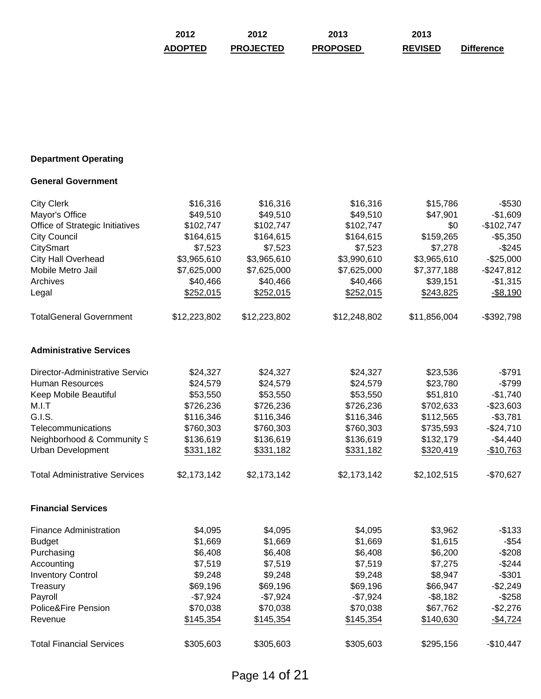| 2012    | 2012             | 2013            | 2013           |                   |
|---------|------------------|-----------------|----------------|-------------------|
| ADOPTED | <b>PROJECTED</b> | <b>PROPOSED</b> | <b>REVISED</b> | <b>Difference</b> |

# **Department Operating**

## **General Government**

| <b>City Clerk</b>                    | \$16,316     | \$16,316     | \$16,316     | \$15,786     | $-$530$     |
|--------------------------------------|--------------|--------------|--------------|--------------|-------------|
| Mayor's Office                       | \$49,510     | \$49,510     | \$49,510     | \$47,901     | $-$1,609$   |
| Office of Strategic Initiatives      | \$102,747    | \$102,747    | \$102,747    | \$0          | $-$102,747$ |
| <b>City Council</b>                  | \$164,615    | \$164,615    | \$164,615    | \$159,265    | $-$5,350$   |
| CitySmart                            | \$7,523      | \$7,523      | \$7,523      | \$7,278      | $-$245$     |
| <b>City Hall Overhead</b>            | \$3,965,610  | \$3,965,610  | \$3,990,610  | \$3,965,610  | $-$25,000$  |
| Mobile Metro Jail                    | \$7,625,000  | \$7,625,000  | \$7,625,000  | \$7,377,188  | $-$247,812$ |
| Archives                             | \$40,466     | \$40,466     | \$40,466     | \$39,151     | $-$1,315$   |
| Legal                                | \$252,015    | \$252,015    | \$252,015    | \$243,825    | $-$8,190$   |
| <b>TotalGeneral Government</b>       | \$12,223,802 | \$12,223,802 | \$12,248,802 | \$11,856,004 | $-$392,798$ |
| <b>Administrative Services</b>       |              |              |              |              |             |
| Director-Administrative Service      | \$24,327     | \$24,327     | \$24,327     | \$23,536     | $-$791$     |
| Human Resources                      | \$24,579     | \$24,579     | \$24,579     | \$23,780     | $-$799$     |
| Keep Mobile Beautiful                | \$53,550     | \$53,550     | \$53,550     | \$51,810     | $-$1,740$   |
| M.I.T                                | \$726,236    | \$726,236    | \$726,236    | \$702,633    | $-$23,603$  |
| G.I.S.                               | \$116,346    | \$116,346    | \$116,346    | \$112,565    | $-$3,781$   |
| Telecommunications                   | \$760,303    | \$760,303    | \$760,303    | \$735,593    | $-$24,710$  |
| Neighborhood & Community S           | \$136,619    | \$136,619    | \$136,619    | \$132,179    | $-$4,440$   |
| <b>Urban Development</b>             | \$331,182    | \$331,182    | \$331,182    | \$320,419    | $-$10,763$  |
| <b>Total Administrative Services</b> | \$2,173,142  | \$2,173,142  | \$2,173,142  | \$2,102,515  | $-$70,627$  |
| <b>Financial Services</b>            |              |              |              |              |             |
| <b>Finance Administration</b>        | \$4,095      | \$4,095      | \$4,095      | \$3,962      | $-$133$     |
| <b>Budget</b>                        | \$1,669      | \$1,669      | \$1,669      | \$1,615      | $-$ \$54    |
| Purchasing                           | \$6,408      | \$6,408      | \$6,408      | \$6,200      | $-$208$     |
| Accounting                           | \$7,519      | \$7,519      | \$7,519      | \$7,275      | $-$244$     |
| <b>Inventory Control</b>             | \$9,248      | \$9,248      | \$9,248      | \$8,947      | $-$301$     |
| Treasury                             | \$69,196     | \$69,196     | \$69,196     | \$66,947     | $-$2,249$   |
| Payroll                              | $-$7,924$    | $-$7,924$    | $-$7,924$    | $-$ \$8,182  | $-$258$     |
| Police&Fire Pension                  | \$70,038     | \$70,038     | \$70,038     | \$67,762     | $-$2,276$   |
| Revenue                              | \$145,354    | \$145,354    | \$145,354    | \$140,630    | $-$4,724$   |
| <b>Total Financial Services</b>      | \$305,603    | \$305,603    | \$305,603    | \$295,156    | $-$10,447$  |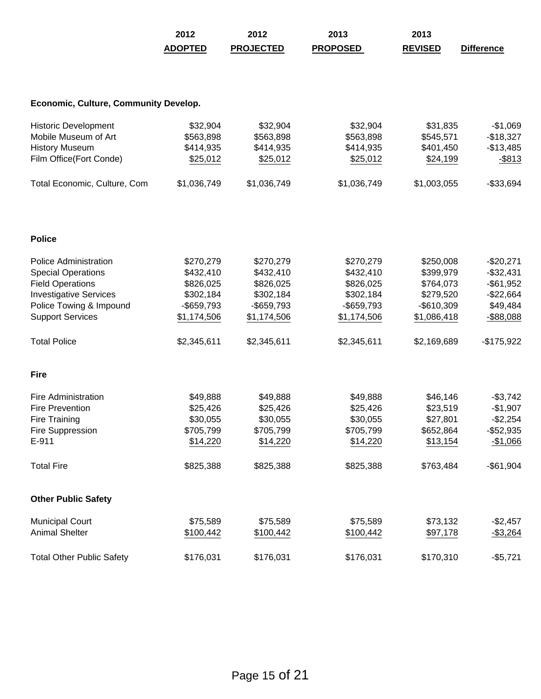|                                       | 2012<br><b>ADOPTED</b> | 2012<br><b>PROJECTED</b> | 2013<br><b>PROPOSED</b> | 2013<br><b>REVISED</b> | <b>Difference</b> |
|---------------------------------------|------------------------|--------------------------|-------------------------|------------------------|-------------------|
| Economic, Culture, Community Develop. |                        |                          |                         |                        |                   |
| <b>Historic Development</b>           | \$32,904               | \$32,904                 | \$32,904                | \$31,835               | $-$1,069$         |
| Mobile Museum of Art                  | \$563,898              | \$563,898                | \$563,898               | \$545,571              | $-$18,327$        |
| <b>History Museum</b>                 | \$414,935              | \$414,935                | \$414,935               | \$401,450              | $-$13,485$        |
| Film Office(Fort Conde)               | \$25,012               | \$25,012                 | \$25,012                | \$24,199               | $-$ \$813         |
| Total Economic, Culture, Com          | \$1,036,749            | \$1,036,749              | \$1,036,749             | \$1,003,055            | $-$33,694$        |
| <b>Police</b>                         |                        |                          |                         |                        |                   |
| <b>Police Administration</b>          | \$270,279              | \$270,279                | \$270,279               | \$250,008              | $-$20,271$        |
| <b>Special Operations</b>             | \$432,410              | \$432,410                | \$432,410               | \$399,979              | $-$32,431$        |
| <b>Field Operations</b>               | \$826,025              | \$826,025                | \$826,025               | \$764,073              | $-$ \$61,952      |
| <b>Investigative Services</b>         | \$302,184              | \$302,184                | \$302,184               | \$279,520              | $-$22,664$        |
| Police Towing & Impound               | $-$659,793$            | $-$659,793$              | $-$659,793$             | $-$ \$610,309          | \$49,484          |
| <b>Support Services</b>               | \$1,174,506            | \$1,174,506              | \$1,174,506             | \$1,086,418            | <u>-\$88,088</u>  |
| <b>Total Police</b>                   | \$2,345,611            | \$2,345,611              | \$2,345,611             | \$2,169,689            | $-$175,922$       |
| <b>Fire</b>                           |                        |                          |                         |                        |                   |
| <b>Fire Administration</b>            | \$49,888               | \$49,888                 | \$49,888                | \$46,146               | $-$3,742$         |
| <b>Fire Prevention</b>                | \$25,426               | \$25,426                 | \$25,426                | \$23,519               | $-$1,907$         |
| <b>Fire Training</b>                  | \$30,055               | \$30,055                 | \$30,055                | \$27,801               | $-$2,254$         |
| Fire Suppression                      | \$705,799              | \$705,799                | \$705,799               | \$652,864              | $-$52,935$        |
| $E-911$                               | \$14,220               | \$14,220                 | \$14,220                | \$13,154               | <u>-\$1,066</u>   |
| <b>Total Fire</b>                     | \$825,388              | \$825,388                | \$825,388               | \$763,484              | $-$61,904$        |
| <b>Other Public Safety</b>            |                        |                          |                         |                        |                   |
| <b>Municipal Court</b>                | \$75,589               | \$75,589                 | \$75,589                | \$73,132               | $-$2,457$         |
| <b>Animal Shelter</b>                 | \$100,442              | \$100,442                | \$100,442               | \$97,178               | <u>-\$3,264</u>   |
| <b>Total Other Public Safety</b>      | \$176,031              | \$176,031                | \$176,031               | \$170,310              | $-$5,721$         |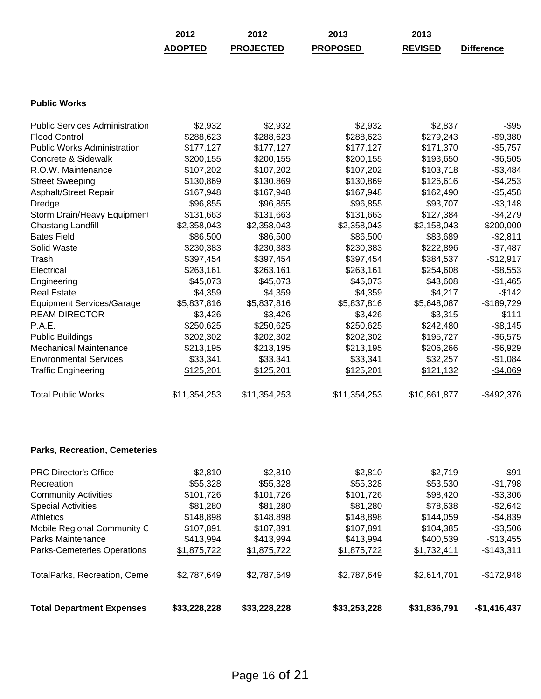|                                       | 2012           | 2012             | 2013            | 2013           |                   |
|---------------------------------------|----------------|------------------|-----------------|----------------|-------------------|
|                                       | <b>ADOPTED</b> | <b>PROJECTED</b> | <b>PROPOSED</b> | <b>REVISED</b> | <b>Difference</b> |
| <b>Public Works</b>                   |                |                  |                 |                |                   |
| <b>Public Services Administration</b> | \$2,932        | \$2,932          | \$2,932         | \$2,837        | $-$ \$95          |
| <b>Flood Control</b>                  | \$288,623      | \$288,623        | \$288,623       | \$279,243      | $-$9,380$         |
| <b>Public Works Administration</b>    | \$177,127      | \$177,127        | \$177,127       | \$171,370      | $-$5,757$         |
| Concrete & Sidewalk                   | \$200,155      | \$200,155        | \$200,155       | \$193,650      | $-$6,505$         |
| R.O.W. Maintenance                    | \$107,202      | \$107,202        | \$107,202       | \$103,718      | $-$3,484$         |
| <b>Street Sweeping</b>                | \$130,869      | \$130,869        | \$130,869       | \$126,616      | $-$4,253$         |
| Asphalt/Street Repair                 | \$167,948      | \$167,948        | \$167,948       | \$162,490      | $-$5,458$         |
| Dredge                                | \$96,855       | \$96,855         | \$96,855        | \$93,707       | $- $3,148$        |
| Storm Drain/Heavy Equipment           | \$131,663      | \$131,663        | \$131,663       | \$127,384      | $-$4,279$         |
| Chastang Landfill                     | \$2,358,043    | \$2,358,043      | \$2,358,043     | \$2,158,043    | $-$200,000$       |
| <b>Bates Field</b>                    | \$86,500       | \$86,500         | \$86,500        | \$83,689       | $-$2,811$         |
| Solid Waste                           | \$230,383      | \$230,383        | \$230,383       | \$222,896      | $-$7,487$         |
| Trash                                 | \$397,454      | \$397,454        | \$397,454       | \$384,537      | $-$12,917$        |
| Electrical                            | \$263,161      | \$263,161        | \$263,161       | \$254,608      | $-$ \$8,553       |
| Engineering                           | \$45,073       | \$45,073         | \$45,073        | \$43,608       | $-$1,465$         |
| <b>Real Estate</b>                    | \$4,359        | \$4,359          | \$4,359         | \$4,217        | $-$142$           |
| <b>Equipment Services/Garage</b>      | \$5,837,816    | \$5,837,816      | \$5,837,816     | \$5,648,087    | $-$189,729$       |
| <b>REAM DIRECTOR</b>                  | \$3,426        | \$3,426          | \$3,426         | \$3,315        | $-$111$           |
| P.A.E.                                | \$250,625      | \$250,625        | \$250,625       | \$242,480      | $-$ \$8,145       |
| <b>Public Buildings</b>               | \$202,302      | \$202,302        | \$202,302       | \$195,727      | $-$6,575$         |
| <b>Mechanical Maintenance</b>         | \$213,195      | \$213,195        | \$213,195       | \$206,266      | $-$6,929$         |
| <b>Environmental Services</b>         | \$33,341       | \$33,341         | \$33,341        | \$32,257       | $-$1,084$         |
| <b>Traffic Engineering</b>            | \$125,201      | \$125,201        | \$125,201       | \$121,132      | $-$4,069$         |
| <b>Total Public Works</b>             | \$11,354,253   | \$11,354,253     | \$11,354,253    | \$10,861,877   | $-$492,376$       |

## **Parks, Recreation, Cemeteries**

| <b>Total Department Expenses</b> | \$33,228,228 | \$33,228,228 | \$33,253,228 | \$31,836,791 | $-$1,416,437$      |
|----------------------------------|--------------|--------------|--------------|--------------|--------------------|
| TotalParks, Recreation, Ceme     | \$2,787,649  | \$2,787,649  | \$2,787,649  | \$2,614,701  | $-$172,948$        |
| Parks-Cemeteries Operations      | \$1,875,722  | \$1,875,722  | \$1,875,722  | \$1,732,411  | <u>-\$143,3</u> 11 |
| Parks Maintenance                | \$413,994    | \$413,994    | \$413,994    | \$400,539    | $-$13,455$         |
| Mobile Regional Community C      | \$107,891    | \$107,891    | \$107,891    | \$104,385    | $-$ \$3,506        |
| <b>Athletics</b>                 | \$148,898    | \$148,898    | \$148,898    | \$144,059    | $-$4,839$          |
| <b>Special Activities</b>        | \$81,280     | \$81,280     | \$81,280     | \$78,638     | $-$2,642$          |
| <b>Community Activities</b>      | \$101,726    | \$101,726    | \$101,726    | \$98,420     | -\$3,306           |
| Recreation                       | \$55,328     | \$55,328     | \$55,328     | \$53,530     | $-$1,798$          |
| <b>PRC Director's Office</b>     | \$2,810      | \$2,810      | \$2,810      | \$2,719      | $-$ \$91           |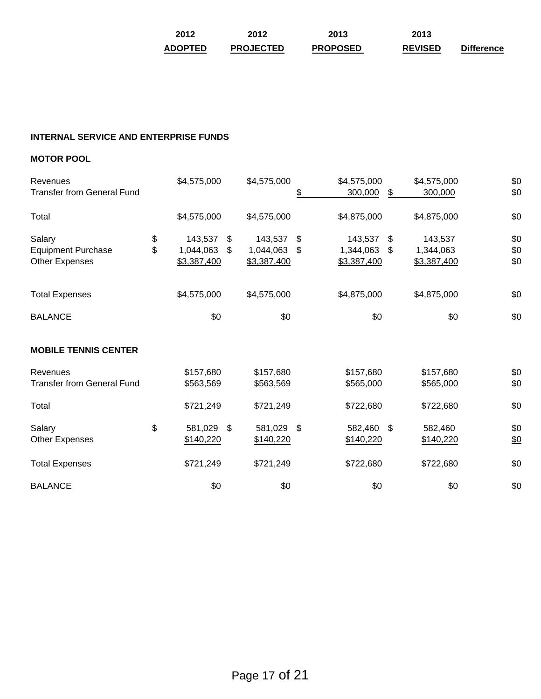| 2012           | 2012             | 2013            | 2013           |                   |
|----------------|------------------|-----------------|----------------|-------------------|
| <b>ADOPTED</b> | <b>PROJECTED</b> | <b>PROPOSED</b> | <b>REVISED</b> | <b>Difference</b> |

## **INTERNAL SERVICE AND ENTERPRISE FUNDS**

# **MOTOR POOL**

| Revenues<br><b>Transfer from General Fund</b>                |          | \$4,575,000                         |          | \$4,575,000                         | \$       | \$4,575,000<br>300,000                 | \$<br>\$4,575,000<br>300,000              | \$0<br>\$0               |
|--------------------------------------------------------------|----------|-------------------------------------|----------|-------------------------------------|----------|----------------------------------------|-------------------------------------------|--------------------------|
| Total                                                        |          | \$4,575,000                         |          | \$4,575,000                         |          | \$4,875,000                            | \$4,875,000                               | \$0                      |
| Salary<br><b>Equipment Purchase</b><br><b>Other Expenses</b> | \$<br>\$ | 143,537<br>1,044,063<br>\$3,387,400 | \$<br>\$ | 143,537<br>1,044,063<br>\$3,387,400 | \$<br>\$ | 143,537<br>1,344,063 \$<br>\$3,387,400 | \$<br>143,537<br>1,344,063<br>\$3,387,400 | \$0<br>\$0<br>\$0        |
| <b>Total Expenses</b>                                        |          | \$4,575,000                         |          | \$4,575,000                         |          | \$4,875,000                            | \$4,875,000                               | \$0                      |
| <b>BALANCE</b>                                               |          | \$0                                 |          | \$0                                 |          | \$0                                    | \$0                                       | \$0                      |
| <b>MOBILE TENNIS CENTER</b>                                  |          |                                     |          |                                     |          |                                        |                                           |                          |
| Revenues<br><b>Transfer from General Fund</b>                |          | \$157,680<br>\$563,569              |          | \$157,680<br>\$563,569              |          | \$157,680<br>\$565,000                 | \$157,680<br>\$565,000                    | \$0<br>$\frac{$0}{}$     |
| Total                                                        |          | \$721,249                           |          | \$721,249                           |          | \$722,680                              | \$722,680                                 | \$0                      |
| Salary<br><b>Other Expenses</b>                              | \$       | 581,029 \$<br>\$140,220             |          | 581,029<br>\$140,220                | \$       | 582,460 \$<br>\$140,220                | 582,460<br>\$140,220                      | \$0<br>$\underline{\$0}$ |
| <b>Total Expenses</b>                                        |          | \$721,249                           |          | \$721,249                           |          | \$722,680                              | \$722,680                                 | \$0                      |
| <b>BALANCE</b>                                               |          | \$0                                 |          | \$0                                 |          | \$0                                    | \$0                                       | \$0                      |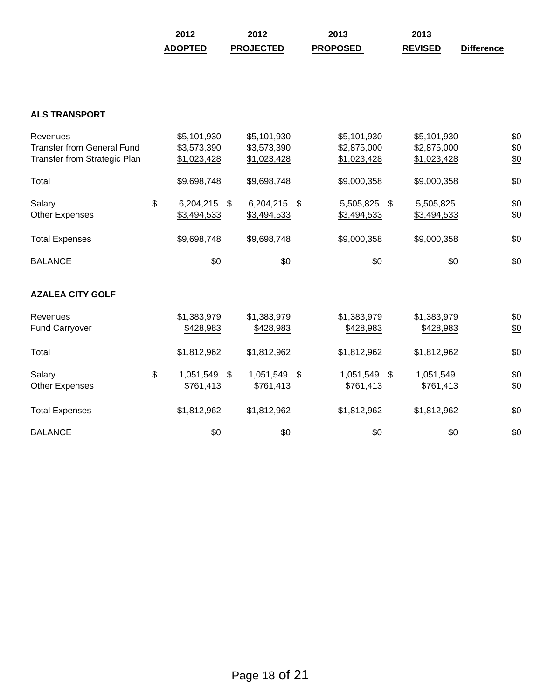| 2012           | 2012             | 2013            | 2013           |                   |
|----------------|------------------|-----------------|----------------|-------------------|
| <b>ADOPTED</b> | <b>PROJECTED</b> | <b>PROPOSED</b> | <b>REVISED</b> | <b>Difference</b> |

# **ALS TRANSPORT**

| Revenues<br><b>Transfer from General Fund</b><br><b>Transfer from Strategic Plan</b> | \$5,101,930<br>\$3,573,390<br>\$1,023,428 | \$5,101,930<br>\$3,573,390<br>\$1,023,428 | \$5,101,930<br>\$2,875,000<br>\$1,023,428 | \$5,101,930<br>\$2,875,000<br>\$1,023,428 | \$0<br>\$0<br>\$0 |
|--------------------------------------------------------------------------------------|-------------------------------------------|-------------------------------------------|-------------------------------------------|-------------------------------------------|-------------------|
| Total                                                                                | \$9,698,748                               | \$9,698,748                               | \$9,000,358                               | \$9,000,358                               | \$0               |
| Salary<br><b>Other Expenses</b>                                                      | \$<br>6,204,215 \$<br>\$3,494,533         | 6,204,215 \$<br>\$3,494,533               | 5,505,825 \$<br>\$3,494,533               | 5,505,825<br>\$3,494,533                  | \$0<br>\$0        |
| <b>Total Expenses</b>                                                                | \$9,698,748                               | \$9,698,748                               | \$9,000,358                               | \$9,000,358                               | \$0               |
| <b>BALANCE</b>                                                                       | \$0                                       | \$0                                       | \$0                                       | \$0                                       | \$0               |
| <b>AZALEA CITY GOLF</b>                                                              |                                           |                                           |                                           |                                           |                   |
| Revenues<br><b>Fund Carryover</b>                                                    | \$1,383,979<br>\$428,983                  | \$1,383,979<br>\$428,983                  | \$1,383,979<br>\$428,983                  | \$1,383,979<br>\$428,983                  | \$0<br>60         |
| Total                                                                                | \$1,812,962                               | \$1,812,962                               | \$1,812,962                               | \$1,812,962                               | \$0               |
| Salary<br><b>Other Expenses</b>                                                      | \$<br>1,051,549 \$<br>\$761,413           | 1,051,549 \$<br>\$761,413                 | 1,051,549 \$<br>\$761,413                 | 1,051,549<br>\$761,413                    | \$0<br>\$0        |
| <b>Total Expenses</b>                                                                | \$1,812,962                               | \$1,812,962                               | \$1,812,962                               | \$1,812,962                               | \$0               |
| <b>BALANCE</b>                                                                       | \$0                                       | \$0                                       | \$0                                       | \$0                                       | \$0               |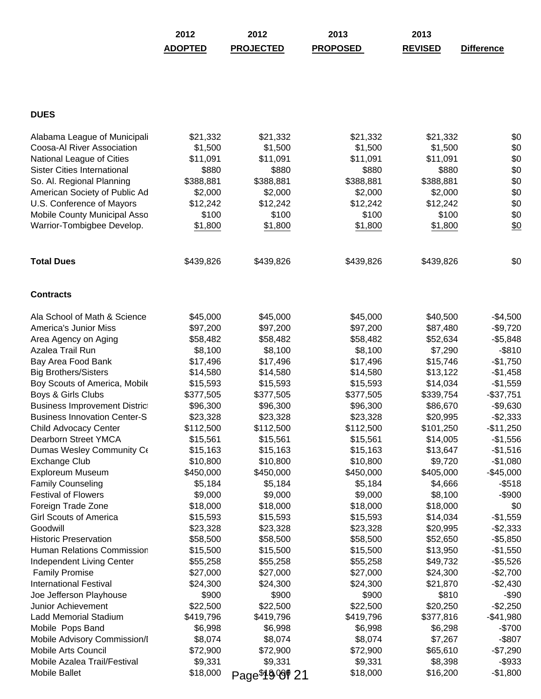|                                                                 | 2012                 | 2012              | 2013              | 2013               |                   |
|-----------------------------------------------------------------|----------------------|-------------------|-------------------|--------------------|-------------------|
|                                                                 | <b>ADOPTED</b>       | <b>PROJECTED</b>  | <b>PROPOSED</b>   | <b>REVISED</b>     | <b>Difference</b> |
|                                                                 |                      |                   |                   |                    |                   |
|                                                                 |                      |                   |                   |                    |                   |
|                                                                 |                      |                   |                   |                    |                   |
| <b>DUES</b>                                                     |                      |                   |                   |                    |                   |
|                                                                 |                      |                   |                   |                    |                   |
| Alabama League of Municipali                                    | \$21,332             | \$21,332          | \$21,332          | \$21,332           | \$0               |
| Coosa-Al River Association                                      | \$1,500              | \$1,500           | \$1,500           | \$1,500            | \$0               |
| National League of Cities<br><b>Sister Cities International</b> | \$11,091             | \$11,091<br>\$880 | \$11,091<br>\$880 | \$11,091           | \$0<br>\$0        |
|                                                                 | \$880                | \$388,881         | \$388,881         | \$880<br>\$388,881 | \$0               |
| So. Al. Regional Planning<br>American Society of Public Ad      | \$388,881<br>\$2,000 | \$2,000           | \$2,000           | \$2,000            | \$0               |
| U.S. Conference of Mayors                                       | \$12,242             | \$12,242          | \$12,242          | \$12,242           | \$0               |
| Mobile County Municipal Asso                                    | \$100                | \$100             | \$100             | \$100              | \$0               |
| Warrior-Tombigbee Develop.                                      | \$1,800              | \$1,800           | \$1,800           | \$1,800            | \$0               |
|                                                                 |                      |                   |                   |                    |                   |
| <b>Total Dues</b>                                               | \$439,826            | \$439,826         | \$439,826         | \$439,826          | \$0               |
| <b>Contracts</b>                                                |                      |                   |                   |                    |                   |
| Ala School of Math & Science                                    | \$45,000             | \$45,000          | \$45,000          | \$40,500           | $-$4,500$         |
| America's Junior Miss                                           | \$97,200             | \$97,200          | \$97,200          | \$87,480           | $-$9,720$         |
| Area Agency on Aging                                            | \$58,482             | \$58,482          | \$58,482          | \$52,634           | $-$5,848$         |
| Azalea Trail Run                                                | \$8,100              | \$8,100           | \$8,100           | \$7,290            | $-$ \$810         |
| Bay Area Food Bank                                              | \$17,496             | \$17,496          | \$17,496          | \$15,746           | $-$1,750$         |
| <b>Big Brothers/Sisters</b>                                     | \$14,580             | \$14,580          | \$14,580          | \$13,122           | $-$1,458$         |
| Boy Scouts of America, Mobile                                   | \$15,593             | \$15,593          | \$15,593          | \$14,034           | $-$1,559$         |
| Boys & Girls Clubs                                              | \$377,505            | \$377,505         | \$377,505         | \$339,754          | $-$37,751$        |
| <b>Business Improvement District</b>                            | \$96,300             | \$96,300          | \$96,300          | \$86,670           | $-$9,630$         |
| <b>Business Innovation Center-S</b>                             | \$23,328             | \$23,328          | \$23,328          | \$20,995           | $-$2,333$         |
| <b>Child Advocacy Center</b>                                    | \$112,500            | \$112,500         | \$112,500         | \$101,250          | $-$11,250$        |
| Dearborn Street YMCA                                            | \$15,561             | \$15,561          | \$15,561          | \$14,005           | $-$1,556$         |
| Dumas Wesley Community Ce                                       | \$15,163             | \$15,163          | \$15,163          | \$13,647           | $-$1,516$         |
| <b>Exchange Club</b>                                            | \$10,800             | \$10,800          | \$10,800          | \$9,720            | $-$1,080$         |
| Exploreum Museum                                                | \$450,000            | \$450,000         | \$450,000         | \$405,000          | $-$45,000$        |
| <b>Family Counseling</b>                                        | \$5,184              | \$5,184           | \$5,184           | \$4,666            | $- $518$          |
| <b>Festival of Flowers</b>                                      | \$9,000              | \$9,000           | \$9,000           | \$8,100            | -\$900            |
| Foreign Trade Zone                                              | \$18,000             | \$18,000          | \$18,000          | \$18,000           | \$0               |
| <b>Girl Scouts of America</b>                                   | \$15,593             | \$15,593          | \$15,593          | \$14,034           | $-$1,559$         |
| Goodwill                                                        | \$23,328             | \$23,328          | \$23,328          | \$20,995           | $-$2,333$         |
| <b>Historic Preservation</b>                                    | \$58,500             | \$58,500          | \$58,500          | \$52,650           | $-$5,850$         |
| Human Relations Commission                                      | \$15,500             | \$15,500          | \$15,500          | \$13,950           | $-$1,550$         |
| Independent Living Center                                       | \$55,258             | \$55,258          | \$55,258          | \$49,732           | $-$5,526$         |
| <b>Family Promise</b>                                           | \$27,000             | \$27,000          | \$27,000          | \$24,300           | $-$2,700$         |
| <b>International Festival</b>                                   | \$24,300             | \$24,300          | \$24,300          | \$21,870           | $-$2,430$         |
| Joe Jefferson Playhouse                                         | \$900                | \$900             | \$900             | \$810              | -\$90             |
| Junior Achievement                                              | \$22,500             | \$22,500          | \$22,500          | \$20,250           | $-$2,250$         |
| Ladd Memorial Stadium                                           | \$419,796            | \$419,796         | \$419,796         | \$377,816          | $-$41,980$        |
| Mobile Pops Band                                                | \$6,998              | \$6,998           | \$6,998           | \$6,298            | $-$700$           |
| Mobile Advisory Commission/I                                    | \$8,074              | \$8,074           | \$8,074           | \$7,267            | $-$ \$807         |
| Mobile Arts Council                                             | \$72,900             | \$72,900          | \$72,900          | \$65,610           | $-$7,290$         |
| Mobile Azalea Trail/Festival                                    | \$9,331              | \$9,331           | \$9,331           | \$8,398            | -\$933            |
| <b>Mobile Ballet</b>                                            | \$18,000             | Page\$19909 21    | \$18,000          | \$16,200           | $-$1,800$         |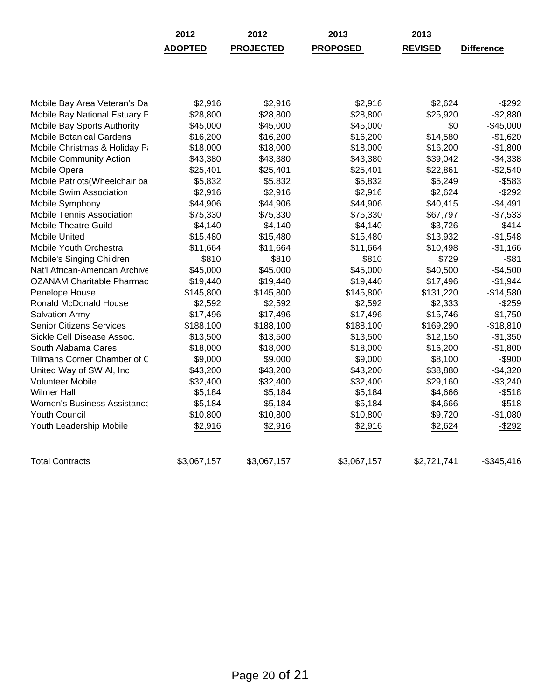|                                  | 2012<br><b>ADOPTED</b> | 2012<br><b>PROJECTED</b> | 2013<br><b>PROPOSED</b> | 2013<br><b>REVISED</b> | <b>Difference</b> |
|----------------------------------|------------------------|--------------------------|-------------------------|------------------------|-------------------|
|                                  |                        |                          |                         |                        |                   |
| Mobile Bay Area Veteran's Da     | \$2,916                | \$2,916                  | \$2,916                 | \$2,624                | $-$292$           |
| Mobile Bay National Estuary F    | \$28,800               | \$28,800                 | \$28,800                | \$25,920               | $-$2,880$         |
| Mobile Bay Sports Authority      | \$45,000               | \$45,000                 | \$45,000                | \$0                    | $-$45,000$        |
| <b>Mobile Botanical Gardens</b>  | \$16,200               | \$16,200                 | \$16,200                | \$14,580               | $-$1,620$         |
| Mobile Christmas & Holiday Pa    | \$18,000               | \$18,000                 | \$18,000                | \$16,200               | $-$1,800$         |
| <b>Mobile Community Action</b>   | \$43,380               | \$43,380                 | \$43,380                | \$39,042               | $-$4,338$         |
| Mobile Opera                     | \$25,401               | \$25,401                 | \$25,401                | \$22,861               | $-$2,540$         |
| Mobile Patriots (Wheelchair ba   | \$5,832                | \$5,832                  | \$5,832                 | \$5,249                | $-$583$           |
| <b>Mobile Swim Association</b>   | \$2,916                | \$2,916                  | \$2,916                 | \$2,624                | $-$292$           |
| Mobile Symphony                  | \$44,906               | \$44,906                 | \$44,906                | \$40,415               | $-$4,491$         |
| <b>Mobile Tennis Association</b> | \$75,330               | \$75,330                 | \$75,330                | \$67,797               | $-$7,533$         |
| <b>Mobile Theatre Guild</b>      | \$4,140                | \$4,140                  | \$4,140                 | \$3,726                | $-$414$           |
| <b>Mobile United</b>             | \$15,480               | \$15,480                 | \$15,480                | \$13,932               | $-$1,548$         |
| Mobile Youth Orchestra           | \$11,664               | \$11,664                 | \$11,664                | \$10,498               | $-$1,166$         |
| Mobile's Singing Children        | \$810                  | \$810                    | \$810                   | \$729                  | $-$ \$81          |
| Nat'l African-American Archive   | \$45,000               | \$45,000                 | \$45,000                | \$40,500               | $-$4,500$         |
| <b>OZANAM Charitable Pharmac</b> | \$19,440               | \$19,440                 | \$19,440                | \$17,496               | $-$1,944$         |
| Penelope House                   | \$145,800              | \$145,800                | \$145,800               | \$131,220              | $-$14,580$        |
| Ronald McDonald House            | \$2,592                | \$2,592                  | \$2,592                 | \$2,333                | $-$259$           |
| <b>Salvation Army</b>            | \$17,496               | \$17,496                 | \$17,496                | \$15,746               | $-$1,750$         |
| <b>Senior Citizens Services</b>  | \$188,100              | \$188,100                | \$188,100               | \$169,290              | $-$18,810$        |
| Sickle Cell Disease Assoc.       | \$13,500               | \$13,500                 | \$13,500                | \$12,150               | $-$1,350$         |
| South Alabama Cares              | \$18,000               | \$18,000                 | \$18,000                | \$16,200               | $-$1,800$         |
| Tillmans Corner Chamber of C     | \$9,000                | \$9,000                  | \$9,000                 | \$8,100                | $-$900$           |
| United Way of SW Al, Inc         | \$43,200               | \$43,200                 | \$43,200                | \$38,880               | $-$4,320$         |
| <b>Volunteer Mobile</b>          | \$32,400               | \$32,400                 | \$32,400                | \$29,160               | $-$3,240$         |
| Wilmer Hall                      | \$5,184                | \$5,184                  | \$5,184                 | \$4,666                | $- $518$          |
| Women's Business Assistance      | \$5,184                | \$5,184                  | \$5,184                 | \$4,666                | $- $518$          |
| <b>Youth Council</b>             | \$10,800               | \$10,800                 | \$10,800                | \$9,720                | $-$1,080$         |
| Youth Leadership Mobile          | \$2,916                | \$2,916                  | \$2,916                 | \$2,624                | $-$292$           |
| <b>Total Contracts</b>           | \$3,067,157            | \$3,067,157              | \$3,067,157             | \$2,721,741            | $-$345,416$       |